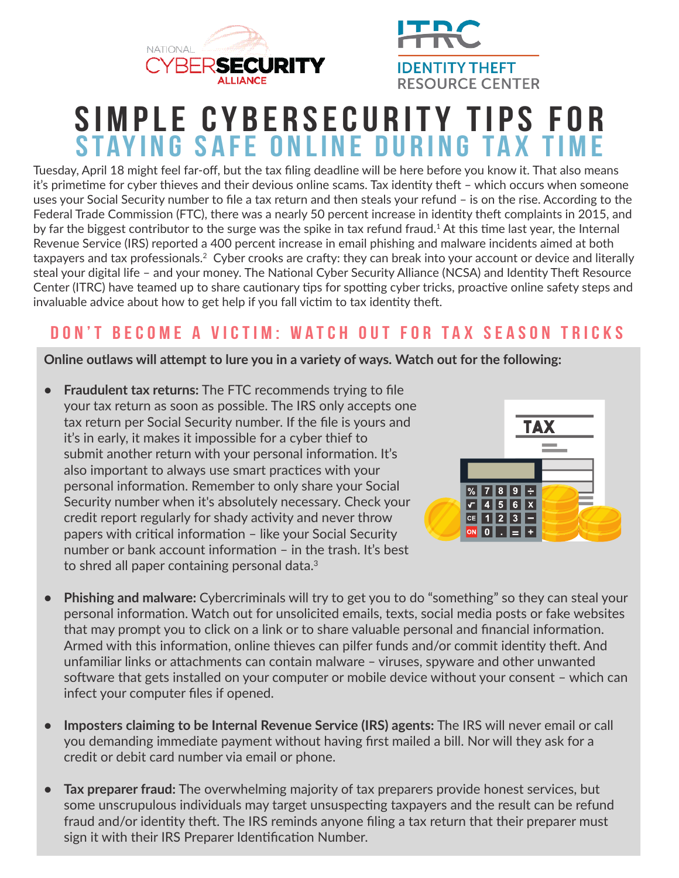



# **Simple Cybersecurity Tips for STAYING SAFE ONLINE DURING TAX TIME**

Tuesday, April 18 might feel far-off, but the tax filing deadline will be here before you know it. That also means it's primetme for cyber thieves and their devious online scams. Tax identty thef – which occurs when someone uses your Social Security number to fle a tax return and then steals your refund – is on the rise. According to the Federal Trade Commission (FTC), there was a nearly 50 percent increase in identity theft complaints in 2015, and by far the biggest contributor to the surge was the spike in tax refund fraud.1 At this tme last year, the Internal Revenue Service (IRS) reported a 400 percent increase in email phishing and malware incidents aimed at both taxpayers and tax professionals.<sup>2</sup> Cyber crooks are crafty: they can break into your account or device and literally steal your digital life – and your money. The National Cyber Security Alliance (NCSA) and Identity Theft Resource Center (ITRC) have teamed up to share cautionary tips for spotting cyber tricks, proactive online safety steps and invaluable advice about how to get help if you fall victim to tax identity theft.

#### **Don't Become a Victim: Watch Out for Tax Season Tricks**

#### **Online outlaws will atempt to lure you in a variety of ways. Watch out for the following:**

**• Fraudulent tax returns:** The FTC recommends trying to fle your tax return as soon as possible. The IRS only accepts one tax return per Social Security number. If the fle is yours and it's in early, it makes it impossible for a cyber thief to submit another return with your personal information. It's also important to always use smart practices with your personal information. Remember to only share your Social Security number when it's absolutely necessary. Check your credit report regularly for shady activity and never throw papers with critical information - like your Social Security number or bank account information - in the trash. It's best to shred all paper containing personal data.<sup>3</sup>



- **• Phishing and malware:** Cybercriminals will try to get you to do "something" so they can steal your personal information. Watch out for unsolicited emails, texts, social media posts or fake websites that may prompt you to click on a link or to share valuable personal and fnancial informaton. Armed with this information, online thieves can pilfer funds and/or commit identity theft. And unfamiliar links or attachments can contain malware - viruses, spyware and other unwanted software that gets installed on your computer or mobile device without your consent - which can infect your computer fles if opened.
- **• Imposters claiming to be Internal Revenue Service (IRS) agents:** The IRS will never email or call you demanding immediate payment without having frst mailed a bill. Nor will they ask for a credit or debit card number via email or phone.
- **• Tax preparer fraud:** The overwhelming majority of tax preparers provide honest services, but some unscrupulous individuals may target unsuspecting taxpayers and the result can be refund fraud and/or identity theft. The IRS reminds anyone filing a tax return that their preparer must sign it with their IRS Preparer Identification Number.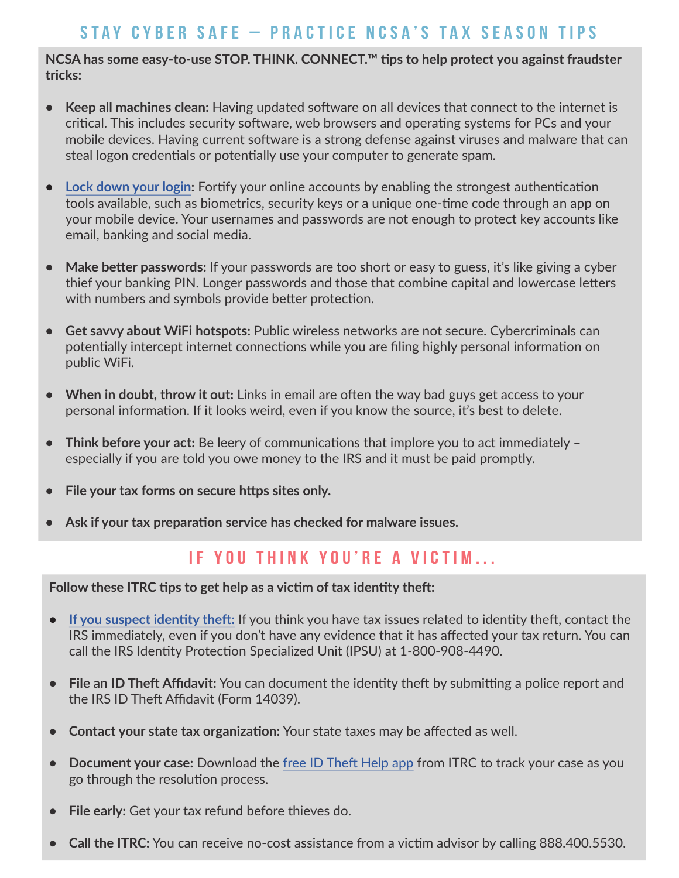#### **Stay Cyber Safe – Practice NCSA's Tax Season Tips**

NCSA has some easy-to-use STOP. THINK. CONNECT.<sup>™</sup> tips to help protect you against fraudster **tricks:**

- **• Keep all machines clean:** Having updated sofware on all devices that connect to the internet is critcal. This includes security sofware, web browsers and operatng systems for PCs and your mobile devices. Having current software is a strong defense against viruses and malware that can steal logon credentials or potentially use your computer to generate spam.
- **•** Lock down your login: Fortify your online accounts by enabling the strongest authentication tools available, such as biometrics, security keys or a unique one-tme code through an app on your mobile device. Your usernames and passwords are not enough to protect key accounts like email, banking and social media.
- Make better passwords: If your passwords are too short or easy to guess, it's like giving a cyber thief your banking PIN. Longer passwords and those that combine capital and lowercase letters with numbers and symbols provide better protection.
- **• Get savvy about WiFi hotspots:** Public wireless networks are not secure. Cybercriminals can potentially intercept internet connections while you are filing highly personal information on public WiFi.
- **When in doubt, throw it out:** Links in email are often the way bad guys get access to your personal informaton. If it looks weird, even if you know the source, it's best to delete.
- Think before your act: Be leery of communications that implore you to act immediately especially if you are told you owe money to the IRS and it must be paid promptly.
- File your tax forms on secure https sites only.
- Ask if your tax preparation service has checked for malware issues.

#### **If You Think You're a Victim...**

Follow these ITRC tips to get help as a victim of tax identity theft:

- If you suspect identity theft: If you think you have tax issues related to identity theft, contact the IRS immediately, even if you don't have any evidence that it has afected your tax return. You can call the IRS Identity Protection Specialized Unit (IPSU) at 1-800-908-4490.
- File an ID Theft Affidavit: You can document the identity theft by submitting a police report and the IRS ID Theft Affidavit (Form 14039).
- **•** Contact your state tax organization: Your state taxes may be affected as well.
- **Document your case:** Download the free ID Theft Help app from ITRC to track your case as you go through the resolution process.
- **• File early:** Get your tax refund before thieves do.
- **Call the ITRC:** You can receive no-cost assistance from a victim advisor by calling 888.400.5530.